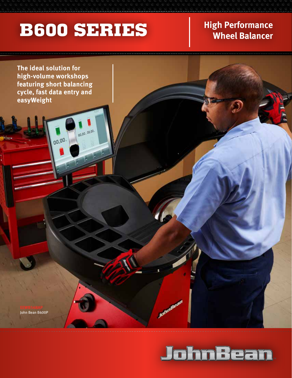## **B600 SERIES** High Performance

00,00.00,00.

# **Wheel Balancer**

**The ideal solution for high-volume workshops featuring short balancing cycle, fast data entry and easyWeight**

00,00

John Bean B600P



JohnBean